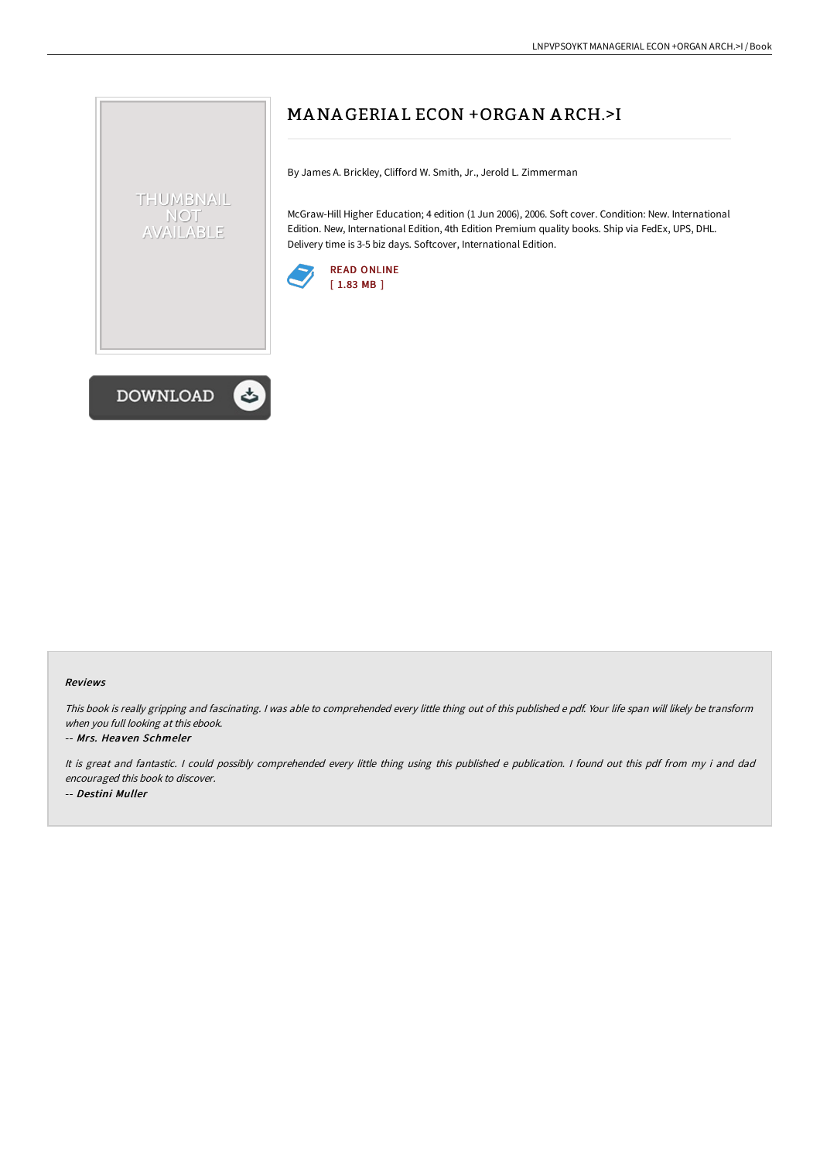# MANA GERIA L ECON +ORGAN A RCH.>I

By James A. Brickley, Clifford W. Smith, Jr., Jerold L. Zimmerman

McGraw-Hill Higher Education; 4 edition (1 Jun 2006), 2006. Soft cover. Condition: New. International Edition. New, International Edition, 4th Edition Premium quality books. Ship via FedEx, UPS, DHL. Delivery time is 3-5 biz days. Softcover, International Edition.





THUMBNAIL NOT AVAILABLE

#### Reviews

This book is really gripping and fascinating. I was able to comprehended every little thing out of this published e pdf. Your life span will likely be transform when you full looking at this ebook.

#### -- Mrs. Heaven Schmeler

It is great and fantastic. <sup>I</sup> could possibly comprehended every little thing using this published <sup>e</sup> publication. <sup>I</sup> found out this pdf from my i and dad encouraged this book to discover. -- Destini Muller